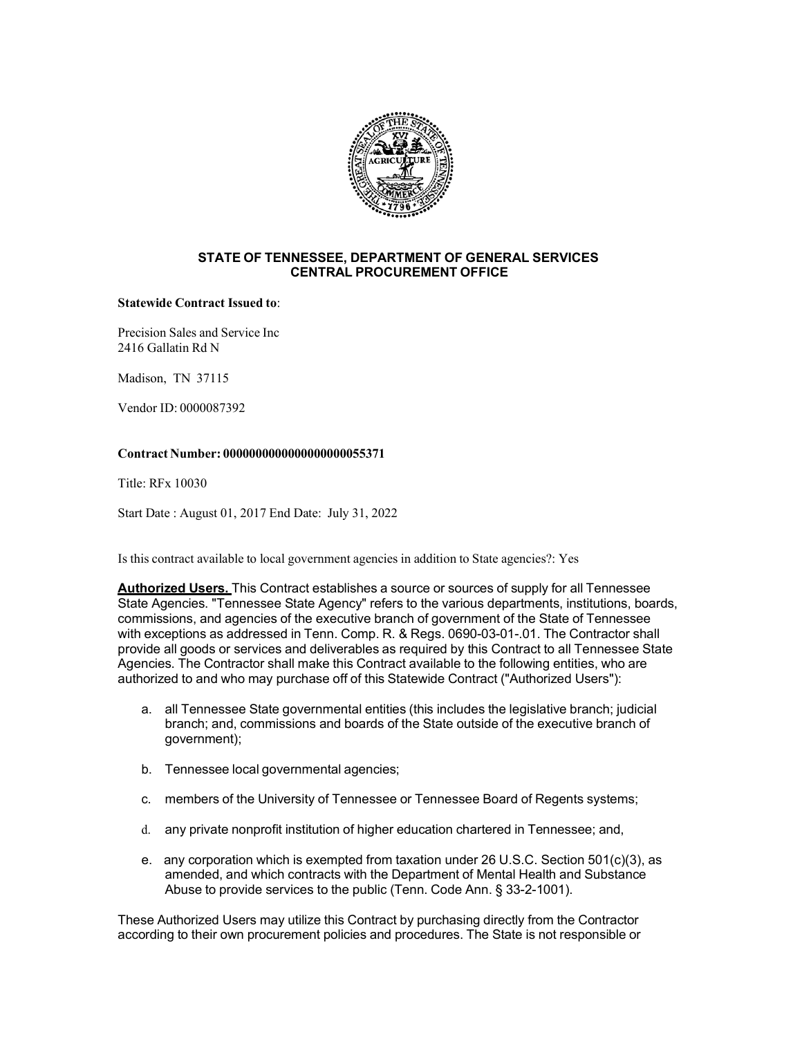

#### **STATE OF TENNESSEE, DEPARTMENT OF GENERAL SERVICES CENTRAL PROCUREMENT OFFICE**

#### **Statewide Contract Issued to**:

Precision Sales and Service Inc 2416 Gallatin Rd N

Madison, TN 37115

Vendor ID: 0000087392

## **Contract Number: 0000000000000000000055371**

Title: RFx 10030

Start Date : August 01, 2017 End Date: July 31, 2022

Is this contract available to local government agencies in addition to State agencies?: Yes

**Authorized Users.** This Contract establishes a source or sources of supply for all Tennessee State Agencies. "Tennessee State Agency" refers to the various departments, institutions, boards, commissions, and agencies of the executive branch of government of the State of Tennessee with exceptions as addressed in Tenn. Comp. R. & Regs. 0690-03-01-.01. The Contractor shall provide all goods or services and deliverables as required by this Contract to all Tennessee State Agencies. The Contractor shall make this Contract available to the following entities, who are authorized to and who may purchase off of this Statewide Contract ("Authorized Users"):

- a. all Tennessee State governmental entities (this includes the legislative branch; judicial branch; and, commissions and boards of the State outside of the executive branch of government);
- b. Tennessee local governmental agencies;
- c. members of the University of Tennessee or Tennessee Board of Regents systems;
- d. any private nonprofit institution of higher education chartered in Tennessee; and,
- e. any corporation which is exempted from taxation under 26 U.S.C. Section 501(c)(3), as amended, and which contracts with the Department of Mental Health and Substance Abuse to provide services to the public (Tenn. Code Ann. § 33-2-1001).

These Authorized Users may utilize this Contract by purchasing directly from the Contractor according to their own procurement policies and procedures. The State is not responsible or